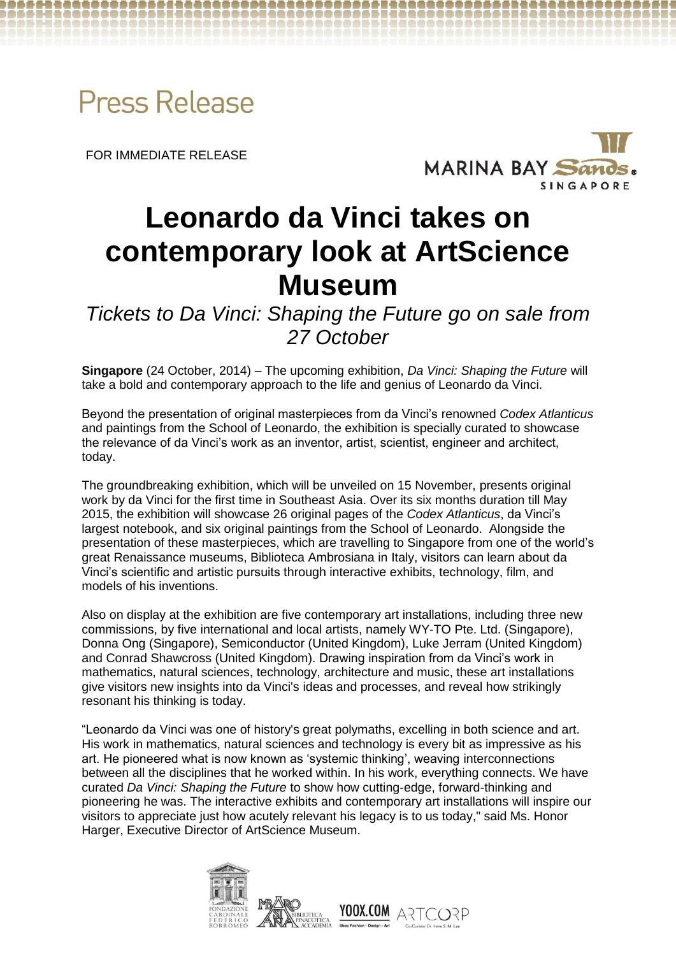

FOR IMMEDIATE RELEASE



# **Leonardo da Vinci takes on contemporary look at ArtScience Museum**

*Tickets to Da Vinci: Shaping the Future go on sale from 27 October*

**Singapore** (24 October, 2014) – The upcoming exhibition, *Da Vinci: Shaping the Future* will take a bold and contemporary approach to the life and genius of Leonardo da Vinci.

Beyond the presentation of original masterpieces from da Vinci's renowned *Codex Atlanticus* and paintings from the School of Leonardo, the exhibition is specially curated to showcase the relevance of da Vinci's work as an inventor, artist, scientist, engineer and architect, today.

The groundbreaking exhibition, which will be unveiled on 15 November, presents original work by da Vinci for the first time in Southeast Asia. Over its six months duration till May 2015, the exhibition will showcase 26 original pages of the *Codex Atlanticus*, da Vinci's largest notebook, and six original paintings from the School of Leonardo. Alongside the presentation of these masterpieces, which are travelling to Singapore from one of the world's great Renaissance museums, Biblioteca Ambrosiana in Italy, visitors can learn about da Vinci's scientific and artistic pursuits through interactive exhibits, technology, film, and models of his inventions.

Also on display at the exhibition are five contemporary art installations, including three new commissions, by five international and local artists, namely WY-TO Pte. Ltd. (Singapore), Donna Ong (Singapore), Semiconductor (United Kingdom), Luke Jerram (United Kingdom) and Conrad Shawcross (United Kingdom). Drawing inspiration from da Vinci's work in mathematics, natural sciences, technology, architecture and music, these art installations give visitors new insights into da Vinci's ideas and processes, and reveal how strikingly resonant his thinking is today.

"Leonardo da Vinci was one of history's great polymaths, excelling in both science and art. His work in mathematics, natural sciences and technology is every bit as impressive as his art. He pioneered what is now known as 'systemic thinking', weaving interconnections between all the disciplines that he worked within. In his work, everything connects. We have curated *Da Vinci: Shaping the Future* to show how cutting-edge, forward-thinking and pioneering he was. The interactive exhibits and contemporary art installations will inspire our visitors to appreciate just how acutely relevant his legacy is to us today," said Ms. Honor Harger, Executive Director of ArtScience Museum.

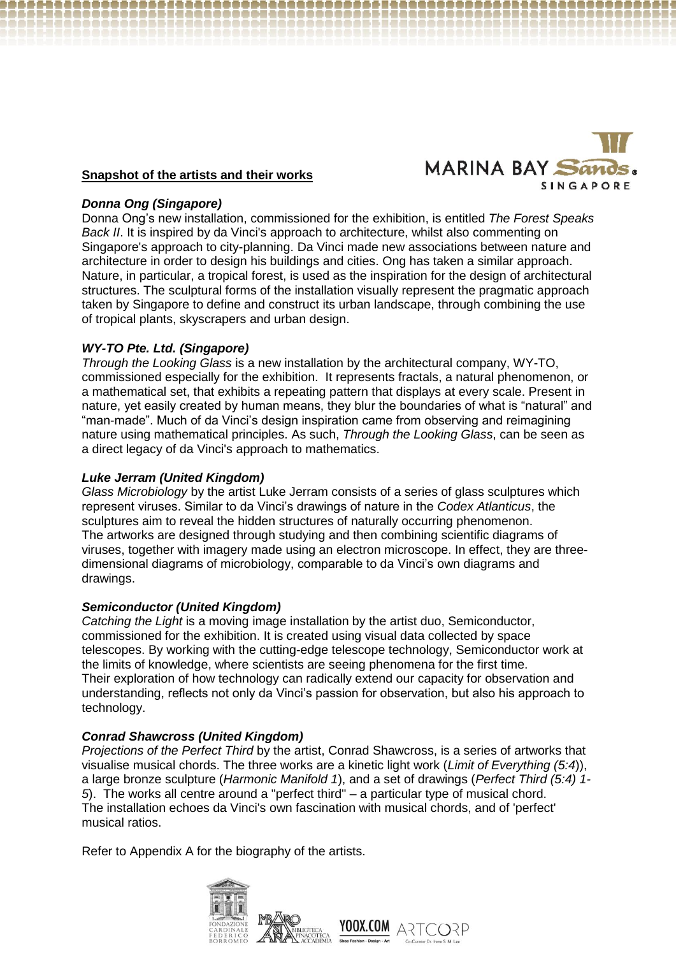

## **Snapshot of the artists and their works**

## *Donna Ong (Singapore)*

Donna Ong's new installation, commissioned for the exhibition, is entitled *The Forest Speaks Back II*. It is inspired by da Vinci's approach to architecture, whilst also commenting on Singapore's approach to city-planning. Da Vinci made new associations between nature and architecture in order to design his buildings and cities. Ong has taken a similar approach. Nature, in particular, a tropical forest, is used as the inspiration for the design of architectural structures. The sculptural forms of the installation visually represent the pragmatic approach taken by Singapore to define and construct its urban landscape, through combining the use of tropical plants, skyscrapers and urban design.

## *WY-TO Pte. Ltd. (Singapore)*

*Through the Looking Glass* is a new installation by the architectural company, WY-TO, commissioned especially for the exhibition. It represents fractals, a natural phenomenon, or a mathematical set, that exhibits a repeating pattern that displays at every scale. Present in nature, yet easily created by human means, they blur the boundaries of what is "natural" and "man-made". Much of da Vinci's design inspiration came from observing and reimagining nature using mathematical principles. As such, *Through the Looking Glass*, can be seen as a direct legacy of da Vinci's approach to mathematics.

## *Luke Jerram (United Kingdom)*

*Glass Microbiology* by the artist Luke Jerram consists of a series of glass sculptures which represent viruses. Similar to da Vinci's drawings of nature in the *Codex Atlanticus*, the sculptures aim to reveal the hidden structures of naturally occurring phenomenon. The artworks are designed through studying and then combining scientific diagrams of viruses, together with imagery made using an electron microscope. In effect, they are threedimensional diagrams of microbiology, comparable to da Vinci's own diagrams and drawings.

## *Semiconductor (United Kingdom)*

*Catching the Light* is a moving image installation by the artist duo, Semiconductor, commissioned for the exhibition. It is created using visual data collected by space telescopes. By working with the cutting-edge telescope technology, Semiconductor work at the limits of knowledge, where scientists are seeing phenomena for the first time. Their exploration of how technology can radically extend our capacity for observation and understanding, reflects not only da Vinci's passion for observation, but also his approach to technology.

## *Conrad Shawcross (United Kingdom)*

*Projections of the Perfect Third* by the artist, Conrad Shawcross, is a series of artworks that visualise musical chords. The three works are a kinetic light work (*Limit of Everything (5:4*)), a large bronze sculpture (*Harmonic Manifold 1*), and a set of drawings (*Perfect Third (5:4) 1- 5*). The works all centre around a "perfect third" – a particular type of musical chord. The installation echoes da Vinci's own fascination with musical chords, and of 'perfect' musical ratios.

Refer to Appendix A for the biography of the artists.

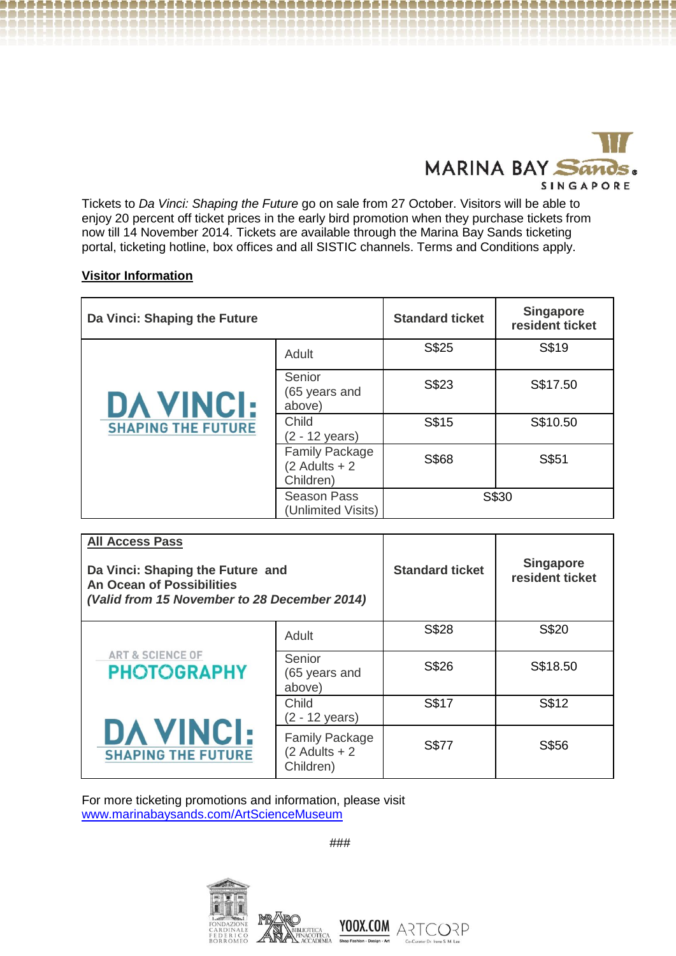

Tickets to *Da Vinci: Shaping the Future* go on sale from 27 October. Visitors will be able to enjoy 20 percent off ticket prices in the early bird promotion when they purchase tickets from now till 14 November 2014. Tickets are available through the Marina Bay Sands ticketing portal, ticketing hotline, box offices and all SISTIC channels. Terms and Conditions apply.

## **Visitor Information**

| Da Vinci: Shaping the Future                  |                                                       | <b>Standard ticket</b> | <b>Singapore</b><br>resident ticket |
|-----------------------------------------------|-------------------------------------------------------|------------------------|-------------------------------------|
| <b>DA VINCI:</b><br><b>SHAPING THE FUTURE</b> | Adult                                                 | S\$25                  | S\$19                               |
|                                               | Senior<br>(65 years and<br>above)                     | S\$23                  | S\$17.50                            |
|                                               | Child<br>$(2 - 12 \text{ years})$                     | S\$15                  | S\$10.50                            |
|                                               | <b>Family Package</b><br>$(2$ Adults + 2<br>Children) | S\$68                  | S\$51                               |
|                                               | <b>Season Pass</b><br>(Unlimited Visits)              | S\$30                  |                                     |

| <b>All Access Pass</b><br>Da Vinci: Shaping the Future and<br>An Ocean of Possibilities<br>(Valid from 15 November to 28 December 2014) |                                                       | <b>Standard ticket</b> | <b>Singapore</b><br>resident ticket |
|-----------------------------------------------------------------------------------------------------------------------------------------|-------------------------------------------------------|------------------------|-------------------------------------|
| <b>ART &amp; SCIENCE OF</b><br><b>PHOTOGRAPHY</b><br><b>DA VINCI:</b><br><b>SHAPING THE FUTURE</b>                                      | Adult                                                 | S\$28                  | S\$20                               |
|                                                                                                                                         | Senior<br>(65 years and<br>above)                     | S\$26                  | S\$18.50                            |
|                                                                                                                                         | Child<br>$(2 - 12 \text{ years})$                     | S\$17                  | S\$12                               |
|                                                                                                                                         | <b>Family Package</b><br>$(2$ Adults + 2<br>Children) | <b>S\$77</b>           | S\$56                               |

For more ticketing promotions and information, please visit [www.marinabaysands.com/ArtScienceMuseum](http://www.marinabaysands.com/ArtScienceMuseum)

###

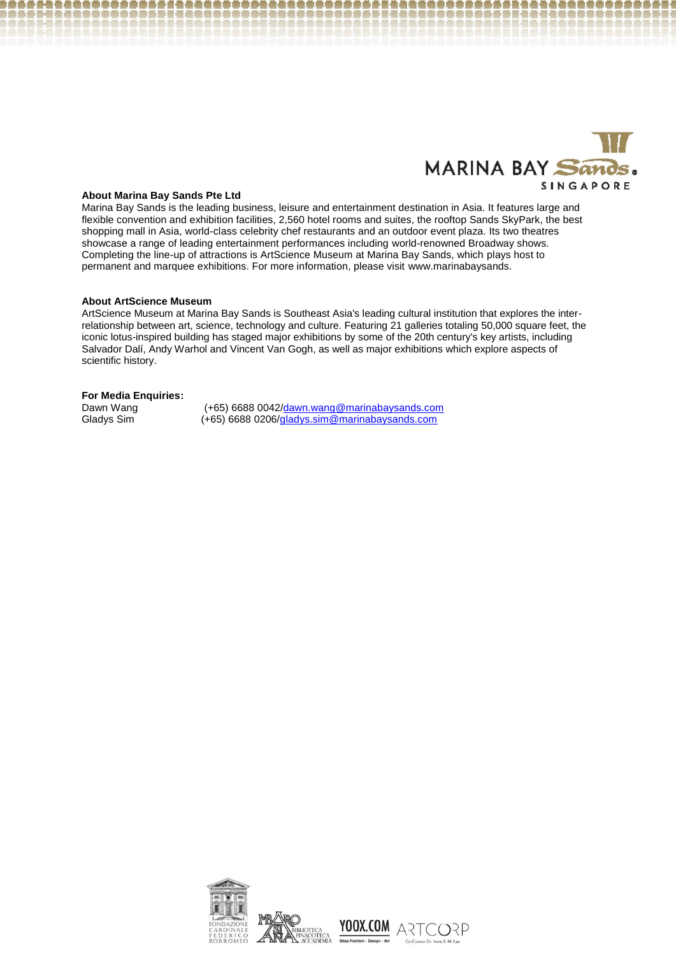

#### **About Marina Bay Sands Pte Ltd**

Marina Bay Sands is the leading business, leisure and entertainment destination in Asia. It features large and flexible convention and exhibition facilities, 2,560 hotel rooms and suites, the rooftop Sands SkyPark, the best shopping mall in Asia, world-class celebrity chef restaurants and an outdoor event plaza. Its two theatres showcase a range of leading entertainment performances including world-renowned Broadway shows. Completing the line-up of attractions is ArtScience Museum at Marina Bay Sands, which plays host to permanent and marquee exhibitions. For more information, please visit www.marinabaysands.

#### **About ArtScience Museum**

ArtScience Museum at Marina Bay Sands is Southeast Asia's leading cultural institution that explores the interrelationship between art, science, technology and culture. Featuring 21 galleries totaling 50,000 square feet, the iconic lotus-inspired building has staged major exhibitions by some of the 20th century's key artists, including Salvador Dalí, Andy Warhol and Vincent Van Gogh, as well as major exhibitions which explore aspects of scientific history.

#### **For Media Enquiries:**

Dawn Wang (+65) 6688 [0042/dawn.wang@marinabaysands.com](mailto:0042/dawn.wang@marinabaysands.com)  Gladys Sim (+65) 6688 0206[/gladys.sim@marinabaysands.com](mailto:gladys.sim@marinabaysands.com)



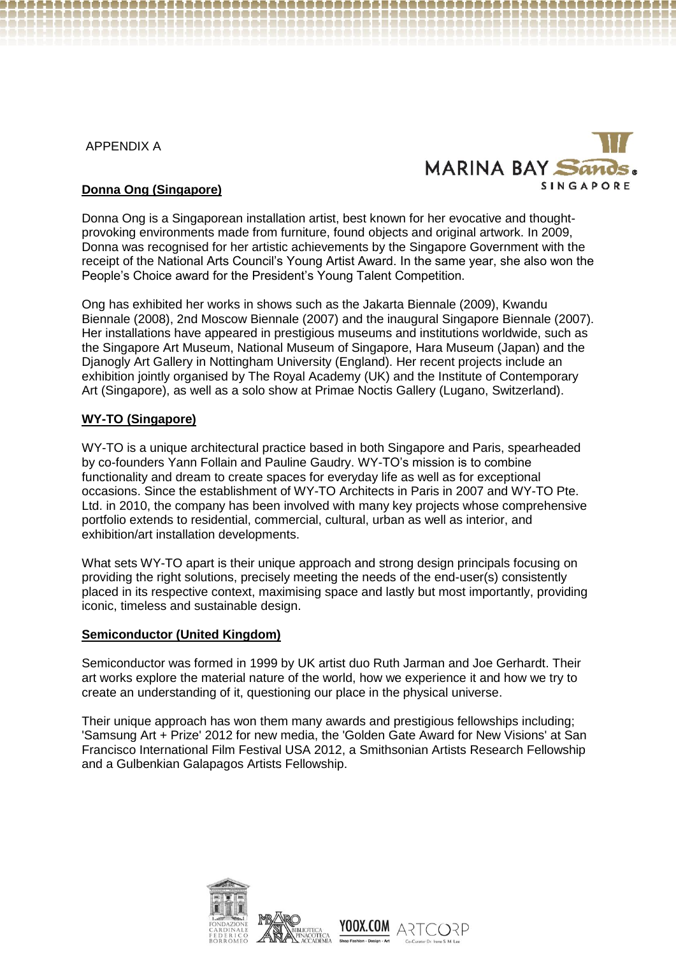APPENDIX A



# **Donna Ong (Singapore)**

Donna Ong is a Singaporean installation artist, best known for her evocative and thoughtprovoking environments made from furniture, found objects and original artwork. In 2009, Donna was recognised for her artistic achievements by the Singapore Government with the receipt of the National Arts Council's Young Artist Award. In the same year, she also won the People's Choice award for the President's Young Talent Competition.

Ong has exhibited her works in shows such as the Jakarta Biennale (2009), Kwandu Biennale (2008), 2nd Moscow Biennale (2007) and the inaugural Singapore Biennale (2007). Her installations have appeared in prestigious museums and institutions worldwide, such as the Singapore Art Museum, National Museum of Singapore, Hara Museum (Japan) and the Djanogly Art Gallery in Nottingham University (England). Her recent projects include an exhibition iointly organised by The Royal Academy (UK) and the Institute of Contemporary Art (Singapore), as well as a solo show at Primae Noctis Gallery (Lugano, Switzerland).

## **WY-TO (Singapore)**

WY-TO is a unique architectural practice based in both Singapore and Paris, spearheaded by co-founders Yann Follain and Pauline Gaudry. WY-TO's mission is to combine functionality and dream to create spaces for everyday life as well as for exceptional occasions. Since the establishment of WY-TO Architects in Paris in 2007 and WY-TO Pte. Ltd. in 2010, the company has been involved with many key projects whose comprehensive portfolio extends to residential, commercial, cultural, urban as well as interior, and exhibition/art installation developments.

What sets WY-TO apart is their unique approach and strong design principals focusing on providing the right solutions, precisely meeting the needs of the end-user(s) consistently placed in its respective context, maximising space and lastly but most importantly, providing iconic, timeless and sustainable design.

## **Semiconductor (United Kingdom)**

Semiconductor was formed in 1999 by UK artist duo Ruth Jarman and Joe Gerhardt. Their art works explore the material nature of the world, how we experience it and how we try to create an understanding of it, questioning our place in the physical universe.

Their unique approach has won them many awards and prestigious fellowships including; 'Samsung Art + Prize' 2012 for new media, the 'Golden Gate Award for New Visions' at San Francisco International Film Festival USA 2012, a Smithsonian Artists Research Fellowship and a Gulbenkian Galapagos Artists Fellowship.